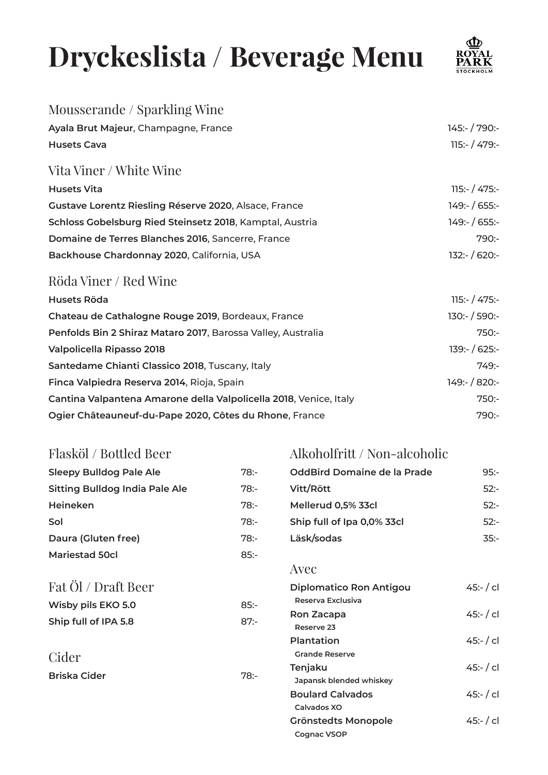## **Dryckeslista / Beverage Menu**



| Mousserande / Sparkling Wine                                      |                 |
|-------------------------------------------------------------------|-----------------|
| Ayala Brut Majeur, Champagne, France                              | 145:- / 790:-   |
| <b>Husets Cava</b>                                                | $115:- / 479:-$ |
| Vita Viner / White Wine                                           |                 |
| <b>Husets Vita</b>                                                | $115:- / 475:-$ |
| Gustave Lorentz Riesling Réserve 2020, Alsace, France             | 149:- / 655:-   |
| Schloss Gobelsburg Ried Steinsetz 2018, Kamptal, Austria          | 149: / 655:     |
| Domaine de Terres Blanches 2016, Sancerre, France                 | $790:-$         |
| Backhouse Chardonnay 2020, California, USA                        | $132:- / 620:-$ |
| Röda Viner / Red Wine                                             |                 |
| <b>Husets Röda</b>                                                | $115:- / 475:-$ |
| Chateau de Cathalogne Rouge 2019, Bordeaux, France                | $130:- / 590:-$ |
| Penfolds Bin 2 Shiraz Mataro 2017, Barossa Valley, Australia      | $750: -$        |
| <b>Valpolicella Ripasso 2018</b>                                  | 139:- / 625:-   |
| Santedame Chianti Classico 2018, Tuscany, Italy                   | $749: -$        |
| Finca Valpiedra Reserva 2014, Rioja, Spain                        | 149:- / 820:-   |
| Cantina Valpantena Amarone della Valpolicella 2018, Venice, Italy | $750: -$        |
| Ogier Châteauneuf-du-Pape 2020, Côtes du Rhone, France            | $790: -$        |
|                                                                   |                 |

## Flasköl / Bottled Beer

## Alkoholfritt / Non-alcoholic

| <b>Sleepy Bulldog Pale Ale</b>        | $78: -$ | <b>OddBird Domaine de la Prade</b> | $95: -$  |
|---------------------------------------|---------|------------------------------------|----------|
| <b>Sitting Bulldog India Pale Ale</b> | $78: -$ | Vitt/Rött                          | $52: -$  |
| Heineken                              | $78: -$ | Mellerud 0,5% 33cl                 | $52: -$  |
| Sol                                   | $78: -$ | Ship full of Ipa 0,0% 33cl         | $52: -$  |
| Daura (Gluten free)                   | $78: -$ | Läsk/sodas                         | $35: -$  |
| <b>Mariestad 50cl</b>                 | $85: -$ |                                    |          |
|                                       |         | Avec                               |          |
| Fat Öl / Draft Beer                   |         | <b>Diplomatico Ron Antigou</b>     | 45: / cl |
| Wisby pils EKO 5.0                    | $85: -$ | Reserva Exclusiva                  |          |
| Ship full of IPA 5.8                  | $87: -$ | Ron Zacapa                         | 45: / c1 |
|                                       |         | Reserve 23<br>Plantation           |          |
|                                       |         | <b>Grande Reserve</b>              | 45: / cl |
| Cider                                 |         | Tenjaku                            | 45: / cl |
| Briska Cider                          | $78: -$ | Japansk blended whiskey            |          |
|                                       |         | <b>Boulard Calvados</b>            | 45: / cl |
|                                       |         | Calvados XO                        |          |
|                                       |         | Grönstedts Monopole                | 45: / cl |
|                                       |         | Cognac VSOP                        |          |